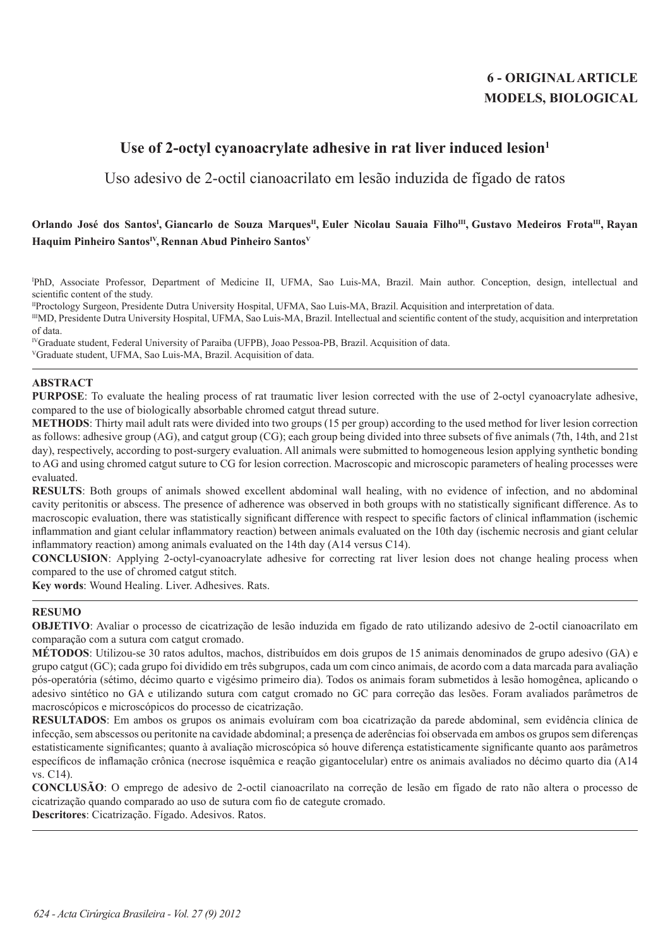# **6 - ORIGINAL ARTICLE MODELS, BIOLOGICAL**

# Use of 2-octyl cyanoacrylate adhesive in rat liver induced lesion<sup>1</sup>

Uso adesivo de 2-octil cianoacrilato em lesão induzida de fígado de ratos

# **Orlando José dos SantosI , Giancarlo de Souza MarquesII, Euler Nicolau Sauaia FilhoIII, Gustavo Medeiros FrotaIII, Rayan**  Haquim Pinheiro Santos<sup>IV</sup>, Rennan Abud Pinheiro Santos<sup>V</sup>

I PhD, Associate Professor, Department of Medicine II, UFMA, Sao Luis-MA, Brazil. Main author. Conception, design, intellectual and scientific content of the study.

IIProctology Surgeon, Presidente Dutra University Hospital, UFMA, Sao Luis-MA, Brazil. Acquisition and interpretation of data.

IIIMD, Presidente Dutra University Hospital, UFMA, Sao Luis-MA, Brazil. Intellectual and scientific content of the study, acquisition and interpretation of data.

IVGraduate student, Federal University of Paraiba (UFPB), Joao Pessoa-PB, Brazil. Acquisition of data. VGraduate student, UFMA, Sao Luis-MA, Brazil. Acquisition of data.

## **ABSTRACT**

**PURPOSE**: To evaluate the healing process of rat traumatic liver lesion corrected with the use of 2-octyl cyanoacrylate adhesive, compared to the use of biologically absorbable chromed catgut thread suture.

**METHODS**: Thirty mail adult rats were divided into two groups (15 per group) according to the used method for liver lesion correction as follows: adhesive group (AG), and catgut group (CG); each group being divided into three subsets of five animals (7th, 14th, and 21st day), respectively, according to post-surgery evaluation. All animals were submitted to homogeneous lesion applying synthetic bonding to AG and using chromed catgut suture to CG for lesion correction. Macroscopic and microscopic parameters of healing processes were evaluated.

**RESULTS**: Both groups of animals showed excellent abdominal wall healing, with no evidence of infection, and no abdominal cavity peritonitis or abscess. The presence of adherence was observed in both groups with no statistically significant difference. As to macroscopic evaluation, there was statistically significant difference with respect to specific factors of clinical inflammation (ischemic inflammation and giant celular inflammatory reaction) between animals evaluated on the 10th day (ischemic necrosis and giant celular inflammatory reaction) among animals evaluated on the 14th day (A14 versus C14).

**CONCLUSION**: Applying 2-octyl-cyanoacrylate adhesive for correcting rat liver lesion does not change healing process when compared to the use of chromed catgut stitch.

**Key words**: Wound Healing. Liver. Adhesives. Rats.

# **RESUMO**

**OBJETIVO**: Avaliar o processo de cicatrização de lesão induzida em fígado de rato utilizando adesivo de 2-octil cianoacrilato em comparação com a sutura com catgut cromado.

**MÉTODOS**: Utilizou-se 30 ratos adultos, machos, distribuídos em dois grupos de 15 animais denominados de grupo adesivo (GA) e grupo catgut (GC); cada grupo foi dividido em três subgrupos, cada um com cinco animais, de acordo com a data marcada para avaliação pós-operatória (sétimo, décimo quarto e vigésimo primeiro dia). Todos os animais foram submetidos à lesão homogênea, aplicando o adesivo sintético no GA e utilizando sutura com catgut cromado no GC para correção das lesões. Foram avaliados parâmetros de macroscópicos e microscópicos do processo de cicatrização.

**RESULTADOS**: Em ambos os grupos os animais evoluíram com boa cicatrização da parede abdominal, sem evidência clínica de infecção, sem abscessos ou peritonite na cavidade abdominal; a presença de aderências foi observada em ambos os grupos sem diferenças estatisticamente significantes; quanto à avaliação microscópica só houve diferença estatisticamente significante quanto aos parâmetros específicos de inflamação crônica (necrose isquêmica e reação gigantocelular) entre os animais avaliados no décimo quarto dia (A14 vs. C14).

**CONCLUSÃO**: O emprego de adesivo de 2-octil cianoacrilato na correção de lesão em fígado de rato não altera o processo de cicatrização quando comparado ao uso de sutura com fio de categute cromado.

**Descritores**: Cicatrização. Fígado. Adesivos. Ratos.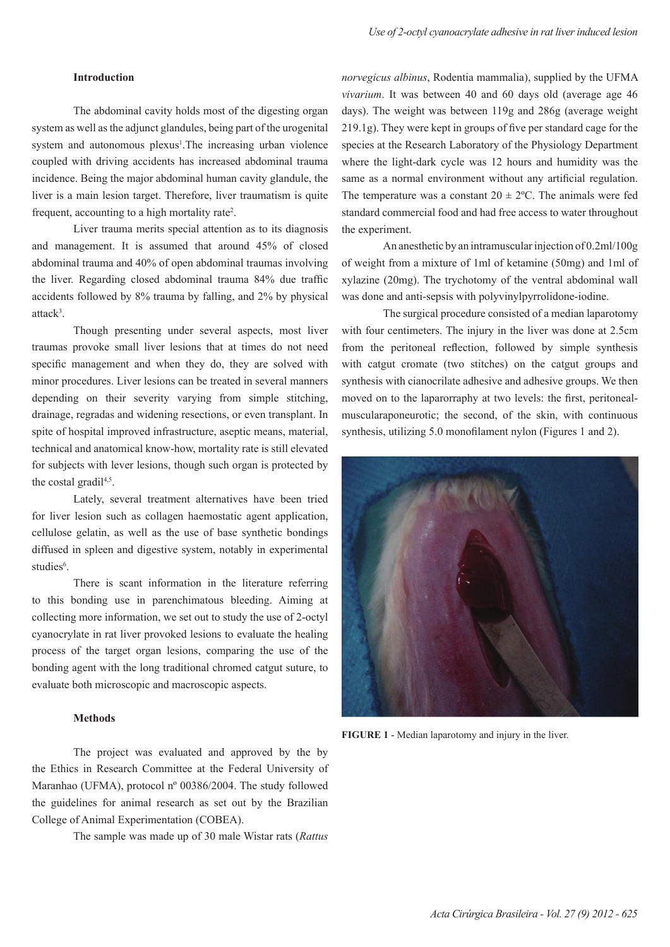#### **Introduction**

The abdominal cavity holds most of the digesting organ system as well asthe adjunct glandules, being part of the urogenital system and autonomous plexus<sup>1</sup>. The increasing urban violence coupled with driving accidents has increased abdominal trauma incidence. Being the major abdominal human cavity glandule, the liver is a main lesion target. Therefore, liver traumatism is quite frequent, accounting to a high mortality rate<sup>2</sup>.

Liver trauma merits special attention as to its diagnosis and management. It is assumed that around 45% of closed abdominal trauma and 40% of open abdominal traumas involving the liver. Regarding closed abdominal trauma 84% due traffic accidents followed by 8% trauma by falling, and 2% by physical attack<sup>3</sup>.

Though presenting under several aspects, most liver traumas provoke small liver lesions that at times do not need specific management and when they do, they are solved with minor procedures. Liver lesions can be treated in several manners depending on their severity varying from simple stitching, drainage, regradas and widening resections, or even transplant. In spite of hospital improved infrastructure, aseptic means, material, technical and anatomical know-how, mortality rate is still elevated for subjects with lever lesions, though such organ is protected by the costal gradil<sup>4,5</sup>.

Lately, several treatment alternatives have been tried for liver lesion such as collagen haemostatic agent application, cellulose gelatin, as well as the use of base synthetic bondings diffused in spleen and digestive system, notably in experimental studies<sup>6</sup>.

There is scant information in the literature referring to this bonding use in parenchimatous bleeding. Aiming at collecting more information, we set out to study the use of 2-octyl cyanocrylate in rat liver provoked lesions to evaluate the healing process of the target organ lesions, comparing the use of the bonding agent with the long traditional chromed catgut suture, to evaluate both microscopic and macroscopic aspects.

### **Methods**

The project was evaluated and approved by the by the Ethics in Research Committee at the Federal University of Maranhao (UFMA), protocol nº 00386/2004. The study followed the guidelines for animal research as set out by the Brazilian College of Animal Experimentation (COBEA).

The sample was made up of 30 male Wistar rats (*Rattus* 

*norvegicus albinus*, Rodentia mammalia), supplied by the UFMA *vivarium*. It was between 40 and 60 days old (average age 46 days). The weight was between 119g and 286g (average weight 219.1g). They were kept in groups of five per standard cage for the species at the Research Laboratory of the Physiology Department where the light-dark cycle was 12 hours and humidity was the same as a normal environment without any artificial regulation. The temperature was a constant  $20 \pm 2^{\circ}$ C. The animals were fed standard commercial food and had free access to water throughout the experiment.

An anesthetic by an intramuscular injection of  $0.2$ ml/100g of weight from a mixture of 1ml of ketamine (50mg) and 1ml of xylazine (20mg). The trychotomy of the ventral abdominal wall was done and anti-sepsis with polyvinylpyrrolidone-iodine.

The surgical procedure consisted of a median laparotomy with four centimeters. The injury in the liver was done at 2.5cm from the peritoneal reflection, followed by simple synthesis with catgut cromate (two stitches) on the catgut groups and synthesis with cianocrilate adhesive and adhesive groups. We then moved on to the laparorraphy at two levels: the first, peritonealmuscularaponeurotic; the second, of the skin, with continuous synthesis, utilizing 5.0 monofilament nylon (Figures 1 and 2).



**FIGURE 1** - Median laparotomy and injury in the liver.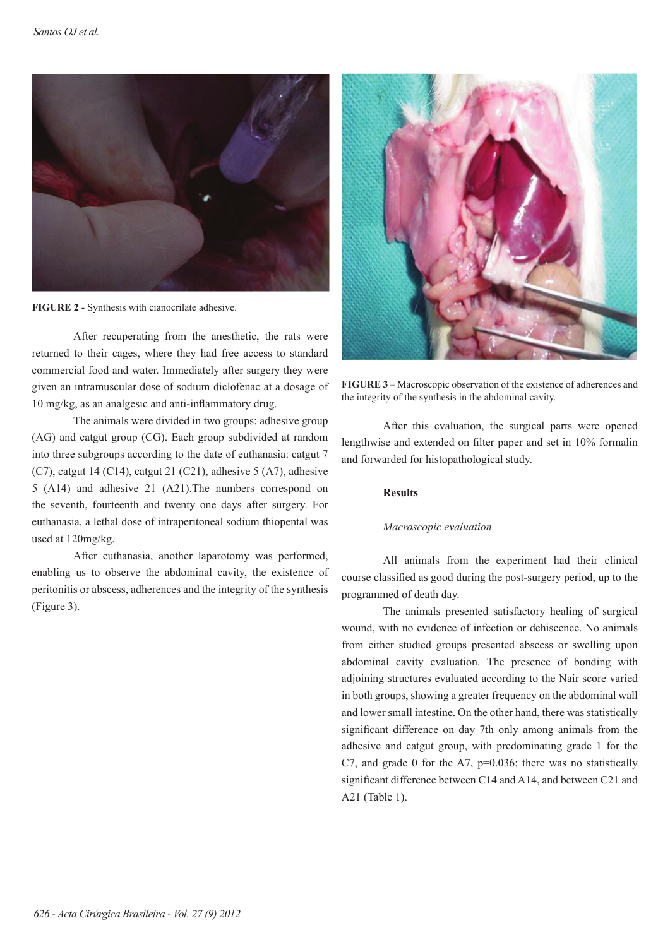

**FIGURE 2** - Synthesis with cianocrilate adhesive.

After recuperating from the anesthetic, the rats were returned to their cages, where they had free access to standard commercial food and water. Immediately after surgery they were given an intramuscular dose of sodium diclofenac at a dosage of 10 mg/kg, as an analgesic and anti-inflammatory drug.

The animals were divided in two groups: adhesive group (AG) and catgut group (CG). Each group subdivided at random into three subgroups according to the date of euthanasia: catgut 7  $(C7)$ , catgut 14  $(C14)$ , catgut 21  $(C21)$ , adhesive 5  $(A7)$ , adhesive 5 (A14) and adhesive 21 (A21).The numbers correspond on the seventh, fourteenth and twenty one days after surgery. For euthanasia, a lethal dose of intraperitoneal sodium thiopental was used at 120mg/kg.

After euthanasia, another laparotomy was performed, enabling us to observe the abdominal cavity, the existence of peritonitis or abscess, adherences and the integrity of the synthesis (Figure 3).



**FIGURE 3** – Macroscopic observation of the existence of adherences and the integrity of the synthesis in the abdominal cavity.

After this evaluation, the surgical parts were opened lengthwise and extended on filter paper and set in 10% formalin and forwarded for histopathological study.

# **Results**

## *Macroscopic evaluation*

All animals from the experiment had their clinical course classified as good during the post-surgery period, up to the programmed of death day.

The animals presented satisfactory healing of surgical wound, with no evidence of infection or dehiscence. No animals from either studied groups presented abscess or swelling upon abdominal cavity evaluation. The presence of bonding with adjoining structures evaluated according to the Nair score varied in both groups, showing a greater frequency on the abdominal wall and lower small intestine. On the other hand, there was statistically significant difference on day 7th only among animals from the adhesive and catgut group, with predominating grade 1 for the C7, and grade 0 for the A7,  $p=0.036$ ; there was no statistically significant difference between C14 and A14, and between C21 and A21 (Table 1).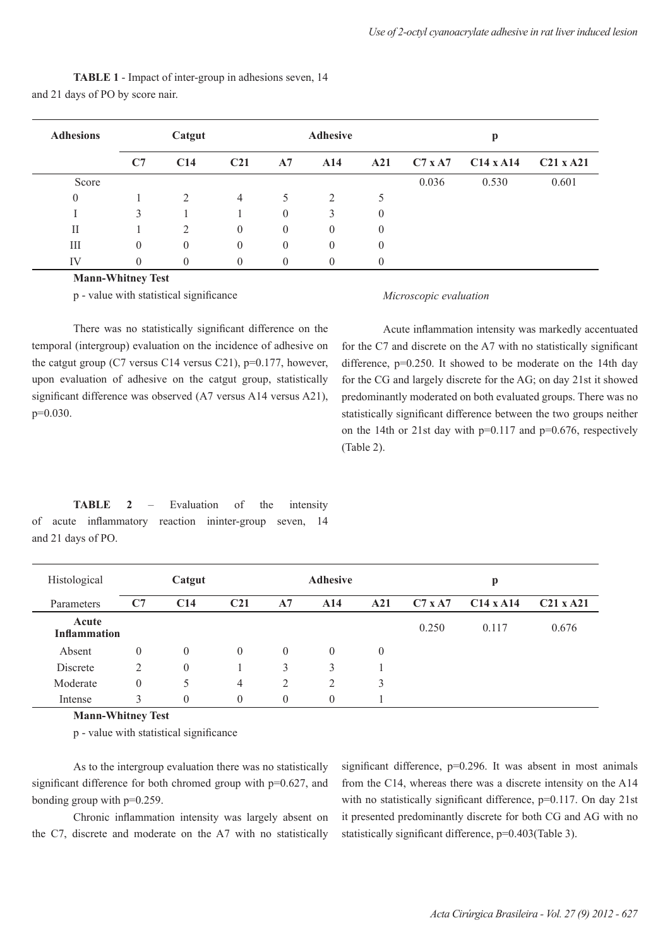| <b>Adhesions</b> | Catgut   |                |                 | <b>Adhesive</b> |                |                | р              |                  |             |
|------------------|----------|----------------|-----------------|-----------------|----------------|----------------|----------------|------------------|-------------|
|                  | C7       | C14            | C <sub>21</sub> | A7              | A14            | A21            | $C7 \times A7$ | $C14 \times A14$ | $C21$ x A21 |
| Score            |          |                |                 |                 |                |                | 0.036          | 0.530            | 0.601       |
| $\theta$         |          | $\mathfrak{D}$ | 4               | 5               | $\overline{2}$ | 5              |                |                  |             |
|                  | 3        |                |                 | $\theta$        | 3              | $\theta$       |                |                  |             |
| П                |          | 2              | $\theta$        | $\theta$        | $\theta$       | $\theta$       |                |                  |             |
| Ш                | $\theta$ | $\theta$       | $\theta$        | $\theta$        | $\theta$       | $\overline{0}$ |                |                  |             |
| IV               | $\theta$ |                |                 | 0               |                |                |                |                  |             |

**TABLE 1** - Impact of inter-group in adhesions seven, 14 and 21 days of PO by score nair.

## **Mann-Whitney Test**

p - value with statistical significance

#### *Microscopic evaluation*

There was no statistically significant difference on the temporal (intergroup) evaluation on the incidence of adhesive on the catgut group (C7 versus C14 versus C21), p=0.177, however, upon evaluation of adhesive on the catgut group, statistically significant difference was observed (A7 versus A14 versus A21), p=0.030.

Acute inflammation intensity was markedly accentuated for the C7 and discrete on the A7 with no statistically significant difference,  $p=0.250$ . It showed to be moderate on the 14th day for the CG and largely discrete for the AG; on day 21st it showed predominantly moderated on both evaluated groups. There was no statistically significant difference between the two groups neither on the 14th or 21st day with  $p=0.117$  and  $p=0.676$ , respectively (Table 2).

**TABLE 2** – Evaluation of the intensity of acute inflammatory reaction ininter-group seven, 14 and 21 days of PO.

| Histological                 | Catgut         |                |                 | <b>Adhesive</b> |          |          | р              |                  |                  |  |
|------------------------------|----------------|----------------|-----------------|-----------------|----------|----------|----------------|------------------|------------------|--|
| Parameters                   | C7             | C14            | C <sub>21</sub> | A7              | A14      | A21      | $C7 \times A7$ | $C14 \times A14$ | $C21 \times A21$ |  |
| Acute<br><b>Inflammation</b> |                |                |                 |                 |          |          | 0.250          | 0.117            | 0.676            |  |
| Absent                       | $\theta$       | $\theta$       | $\Omega$        | $\theta$        | $\theta$ | $\theta$ |                |                  |                  |  |
| Discrete                     | 2              | $\overline{0}$ |                 | 3               | 3        |          |                |                  |                  |  |
| Moderate                     | $\overline{0}$ | 5              | 4               | 2               | ∍        | 3        |                |                  |                  |  |
| Intense                      | 3              | 0              | $\theta$        | $\theta$        | $\theta$ |          |                |                  |                  |  |

**Mann-Whitney Test**

p - value with statistical significance

As to the intergroup evaluation there was no statistically significant difference for both chromed group with  $p=0.627$ , and bonding group with p=0.259.

Chronic inflammation intensity was largely absent on the C7, discrete and moderate on the A7 with no statistically significant difference, p=0.296. It was absent in most animals from the C14, whereas there was a discrete intensity on the A14 with no statistically significant difference, p=0.117. On day 21st it presented predominantly discrete for both CG and AG with no statistically significant difference,  $p=0.403$  (Table 3).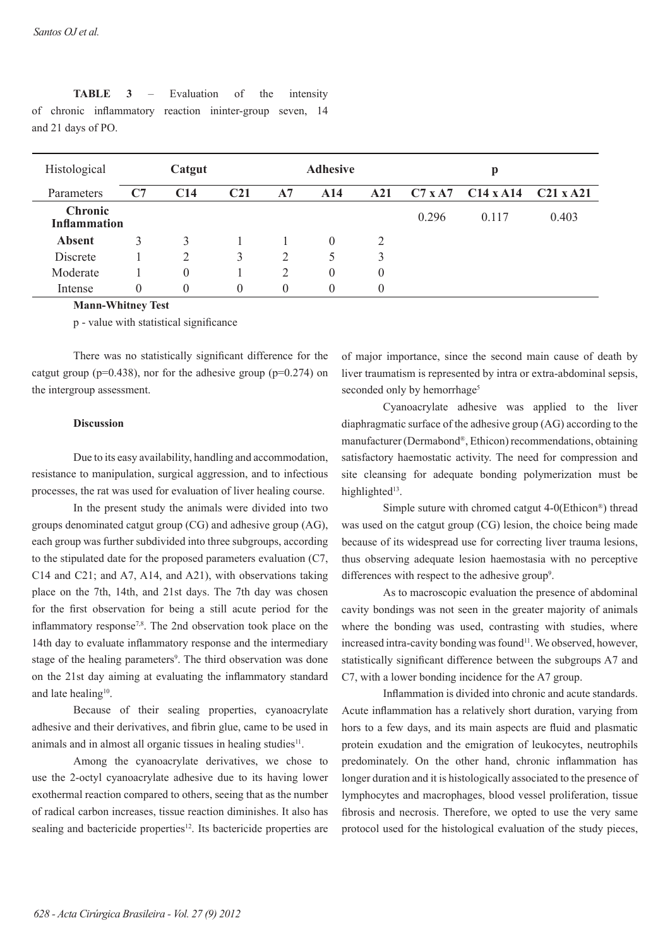| Histological                          | Catgut   |     |                 | <b>Adhesive</b> |          |          | p              |                  |                  |  |
|---------------------------------------|----------|-----|-----------------|-----------------|----------|----------|----------------|------------------|------------------|--|
| Parameters                            | C7       | C14 | C <sub>21</sub> | A7              | A14      | A21      | $C7 \times A7$ | $C14 \times A14$ | $C21 \times A21$ |  |
| <b>Chronic</b><br><b>Inflammation</b> |          |     |                 |                 |          |          | 0.296          | 0.117            | 0.403            |  |
| <b>Absent</b>                         | 3        | 3   |                 |                 | $\theta$ | 2        |                |                  |                  |  |
| Discrete                              |          | 2   | 3               | 2               | Ć        | 3        |                |                  |                  |  |
| Moderate                              |          | 0   |                 |                 | 0        | $\theta$ |                |                  |                  |  |
| Intense                               | $\theta$ | 0   | $\theta$        | $\theta$        | $\theta$ | $\theta$ |                |                  |                  |  |

**TABLE 3** – Evaluation of the intensity of chronic inflammatory reaction ininter-group seven, 14 and 21 days of PO.

**Mann-Whitney Test**

p - value with statistical significance

There was no statistically significant difference for the catgut group ( $p=0.438$ ), nor for the adhesive group ( $p=0.274$ ) on the intergroup assessment.

## **Discussion**

Due to its easy availability, handling and accommodation, resistance to manipulation, surgical aggression, and to infectious processes, the rat was used for evaluation of liver healing course.

In the present study the animals were divided into two groups denominated catgut group (CG) and adhesive group (AG), each group was further subdivided into three subgroups, according to the stipulated date for the proposed parameters evaluation (C7, C14 and C21; and A7, A14, and A21), with observations taking place on the 7th, 14th, and 21st days. The 7th day was chosen for the first observation for being a still acute period for the inflammatory response7,8. The 2nd observation took place on the 14th day to evaluate inflammatory response and the intermediary stage of the healing parameters<sup>9</sup>. The third observation was done on the 21st day aiming at evaluating the inflammatory standard and late healing<sup>10</sup>.

Because of their sealing properties, cyanoacrylate adhesive and their derivatives, and fibrin glue, came to be used in animals and in almost all organic tissues in healing studies<sup>11</sup>.

Among the cyanoacrylate derivatives, we chose to use the 2-octyl cyanoacrylate adhesive due to its having lower exothermal reaction compared to others, seeing that as the number of radical carbon increases, tissue reaction diminishes. It also has sealing and bactericide properties<sup>12</sup>. Its bactericide properties are

of major importance, since the second main cause of death by liver traumatism is represented by intra or extra-abdominal sepsis, seconded only by hemorrhage<sup>5</sup>

Cyanoacrylate adhesive was applied to the liver diaphragmatic surface of the adhesive group (AG) according to the manufacturer (Dermabond®, Ethicon) recommendations, obtaining satisfactory haemostatic activity. The need for compression and site cleansing for adequate bonding polymerization must be highlighted<sup>13</sup>.

Simple suture with chromed catgut 4-0(Ethicon®) thread was used on the catgut group (CG) lesion, the choice being made because of its widespread use for correcting liver trauma lesions, thus observing adequate lesion haemostasia with no perceptive differences with respect to the adhesive group<sup>9</sup>.

As to macroscopic evaluation the presence of abdominal cavity bondings was not seen in the greater majority of animals where the bonding was used, contrasting with studies, where increased intra-cavity bonding was found<sup>11</sup>. We observed, however, statistically significant difference between the subgroups A7 and C7, with a lower bonding incidence for the A7 group.

Inflammation is divided into chronic and acute standards. Acute inflammation has a relatively short duration, varying from hors to a few days, and its main aspects are fluid and plasmatic protein exudation and the emigration of leukocytes, neutrophils predominately. On the other hand, chronic inflammation has longer duration and it is histologically associated to the presence of lymphocytes and macrophages, blood vessel proliferation, tissue fibrosis and necrosis. Therefore, we opted to use the very same protocol used for the histological evaluation of the study pieces,